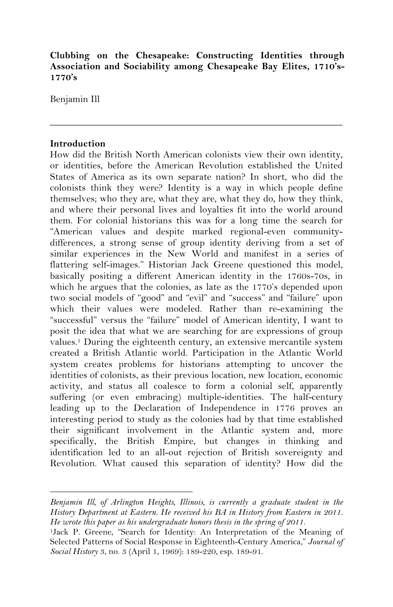# **Clubbing on the Chesapeake: Constructing Identities through Association and Sociability among Chesapeake Bay Elites, 1710's-1770's**

\_\_\_\_\_\_\_\_\_\_\_\_\_\_\_\_\_\_\_\_\_\_\_\_\_\_\_\_\_\_\_\_\_\_\_\_\_\_\_\_\_\_\_\_\_\_\_\_\_\_\_\_\_\_\_\_\_\_\_

Benjamin Ill

### **Introduction**

How did the British North American colonists view their own identity, or identities, before the American Revolution established the United States of America as its own separate nation? In short, who did the colonists think they were? Identity is a way in which people define themselves; who they are, what they are, what they do, how they think, and where their personal lives and loyalties fit into the world around them. For colonial historians this was for a long time the search for "American values and despite marked regional-even communitydifferences, a strong sense of group identity deriving from a set of similar experiences in the New World and manifest in a series of flattering self-images." Historian Jack Greene questioned this model, basically positing a different American identity in the 1760s-70s, in which he argues that the colonies, as late as the 1770's depended upon two social models of "good" and "evil" and "success" and "failure" upon which their values were modeled. Rather than re-examining the "successful" versus the "failure" model of American identity, I want to posit the idea that what we are searching for are expressions of group values.1 During the eighteenth century, an extensive mercantile system created a British Atlantic world. Participation in the Atlantic World system creates problems for historians attempting to uncover the identities of colonists, as their previous location, new location, economic activity, and status all coalesce to form a colonial self, apparently suffering (or even embracing) multiple-identities. The half-century leading up to the Declaration of Independence in 1776 proves an interesting period to study as the colonies had by that time established their significant involvement in the Atlantic system and, more specifically, the British Empire, but changes in thinking and identification led to an all-out rejection of British sovereignty and Revolution. What caused this separation of identity? How did the

*Benjamin Ill, of Arlington Heights, Illinois, is currently a graduate student in the History Department at Eastern. He received his BA in History from Eastern in 2011. He wrote this paper as his undergraduate honors thesis in the spring of 2011.* 

<sup>1</sup>Jack P. Greene, "Search for Identity: An Interpretation of the Meaning of Selected Patterns of Social Response in Eighteenth-Century America," *Journal of Social History* 3, no. 3 (April 1, 1969): 189-220, esp. 189-91.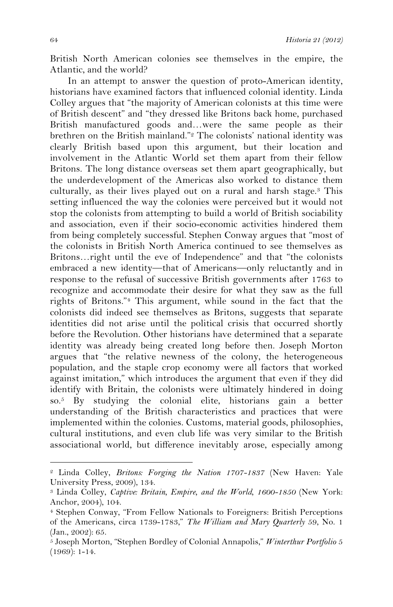British North American colonies see themselves in the empire, the Atlantic, and the world?

In an attempt to answer the question of proto-American identity, historians have examined factors that influenced colonial identity. Linda Colley argues that "the majority of American colonists at this time were of British descent" and "they dressed like Britons back home, purchased British manufactured goods and…were the same people as their brethren on the British mainland."2 The colonists' national identity was clearly British based upon this argument, but their location and involvement in the Atlantic World set them apart from their fellow Britons. The long distance overseas set them apart geographically, but the underdevelopment of the Americas also worked to distance them culturally, as their lives played out on a rural and harsh stage.3 This setting influenced the way the colonies were perceived but it would not stop the colonists from attempting to build a world of British sociability and association, even if their socio-economic activities hindered them from being completely successful. Stephen Conway argues that "most of the colonists in British North America continued to see themselves as Britons…right until the eve of Independence" and that "the colonists embraced a new identity—that of Americans—only reluctantly and in response to the refusal of successive British governments after 1763 to recognize and accommodate their desire for what they saw as the full rights of Britons."4 This argument, while sound in the fact that the colonists did indeed see themselves as Britons, suggests that separate identities did not arise until the political crisis that occurred shortly before the Revolution. Other historians have determined that a separate identity was already being created long before then. Joseph Morton argues that "the relative newness of the colony, the heterogeneous population, and the staple crop economy were all factors that worked against imitation," which introduces the argument that even if they did identify with Britain, the colonists were ultimately hindered in doing so.5 By studying the colonial elite, historians gain a better understanding of the British characteristics and practices that were implemented within the colonies. Customs, material goods, philosophies, cultural institutions, and even club life was very similar to the British associational world, but difference inevitably arose, especially among

<sup>2</sup> Linda Colley, *Britons: Forging the Nation 1707-1837* (New Haven: Yale University Press, 2009), 134.

<sup>3</sup> Linda Colley, *Captive: Britain, Empire, and the World, 1600-1850* (New York: Anchor, 2004), 104.

<sup>4</sup> Stephen Conway, "From Fellow Nationals to Foreigners: British Perceptions of the Americans, circa 1739-1783," *The William and Mary Quarterly* 59, No. 1 (Jan., 2002): 65.

<sup>5</sup> Joseph Morton, "Stephen Bordley of Colonial Annapolis," *Winterthur Portfolio* 5 (1969): 1-14.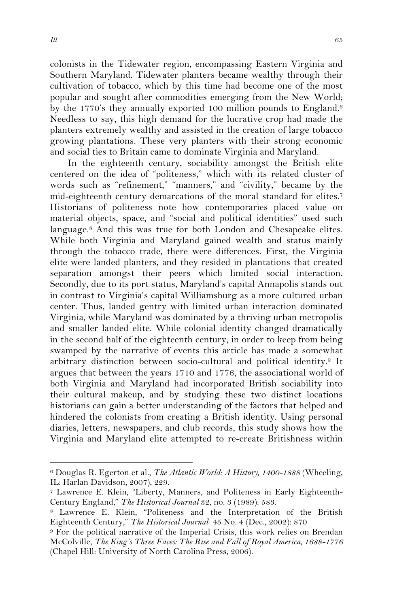colonists in the Tidewater region, encompassing Eastern Virginia and Southern Maryland. Tidewater planters became wealthy through their cultivation of tobacco, which by this time had become one of the most popular and sought after commodities emerging from the New World; by the 1770's they annually exported 100 million pounds to England.<sup>6</sup> Needless to say, this high demand for the lucrative crop had made the planters extremely wealthy and assisted in the creation of large tobacco growing plantations. These very planters with their strong economic and social ties to Britain came to dominate Virginia and Maryland.

In the eighteenth century, sociability amongst the British elite centered on the idea of "politeness," which with its related cluster of words such as "refinement," "manners," and "civility," became by the mid-eighteenth century demarcations of the moral standard for elites.7 Historians of politeness note how contemporaries placed value on material objects, space, and "social and political identities" used such language.8 And this was true for both London and Chesapeake elites. While both Virginia and Maryland gained wealth and status mainly through the tobacco trade, there were differences. First, the Virginia elite were landed planters, and they resided in plantations that created separation amongst their peers which limited social interaction. Secondly, due to its port status, Maryland's capital Annapolis stands out in contrast to Virginia's capital Williamsburg as a more cultured urban center. Thus, landed gentry with limited urban interaction dominated Virginia, while Maryland was dominated by a thriving urban metropolis and smaller landed elite. While colonial identity changed dramatically in the second half of the eighteenth century, in order to keep from being swamped by the narrative of events this article has made a somewhat arbitrary distinction between socio-cultural and political identity.9 It argues that between the years 1710 and 1776, the associational world of both Virginia and Maryland had incorporated British sociability into their cultural makeup, and by studying these two distinct locations historians can gain a better understanding of the factors that helped and hindered the colonists from creating a British identity. Using personal diaries, letters, newspapers, and club records, this study shows how the Virginia and Maryland elite attempted to re-create Britishness within

<sup>6</sup> Douglas R. Egerton et al., *The Atlantic World: A History, 1400-1888* (Wheeling, IL: Harlan Davidson, 2007), 229.

<sup>7</sup> Lawrence E. Klein, "Liberty, Manners, and Politeness in Early Eighteenth-Century England," *The Historical Journal* 32, no. 3 (1989): 583.

<sup>8</sup> Lawrence E. Klein, "Politeness and the Interpretation of the British Eighteenth Century," *The Historical Journal* 45 No. 4 (Dec., 2002): 870

<sup>9</sup> For the political narrative of the Imperial Crisis, this work relies on Brendan McColville, *The King's Three Faces: The Rise and Fall of Royal America, 1688-1776*  (Chapel Hill: University of North Carolina Press, 2006).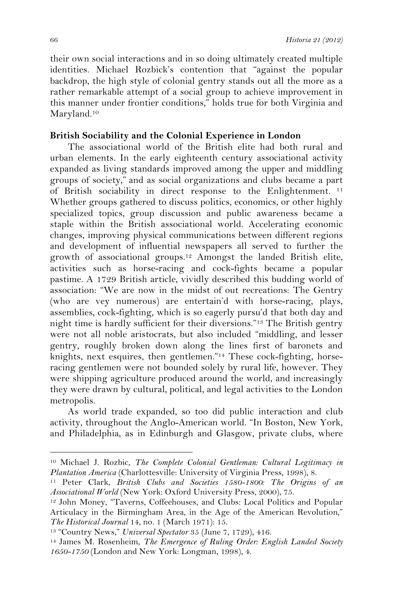their own social interactions and in so doing ultimately created multiple identities. Michael Rozbick's contention that "against the popular backdrop, the high style of colonial gentry stands out all the more as a rather remarkable attempt of a social group to achieve improvement in this manner under frontier conditions," holds true for both Virginia and Maryland.<sup>10</sup>

#### **British Sociability and the Colonial Experience in London**

The associational world of the British elite had both rural and urban elements. In the early eighteenth century associational activity expanded as living standards improved among the upper and middling groups of society," and as social organizations and clubs became a part of British sociability in direct response to the Enlightenment. <sup>11</sup> Whether groups gathered to discuss politics, economics, or other highly specialized topics, group discussion and public awareness became a staple within the British associational world. Accelerating economic changes, improving physical communications between different regions and development of influential newspapers all served to further the growth of associational groups.12 Amongst the landed British elite, activities such as horse-racing and cock-fights became a popular pastime. A 1729 British article, vividly described this budding world of association: "We are now in the midst of out recreations: The Gentry (who are vey numerous) are entertain'd with horse-racing, plays, assemblies, cock-fighting, which is so eagerly pursu'd that both day and night time is hardly sufficient for their diversions."13 The British gentry were not all noble aristocrats, but also included "middling, and lesser gentry, roughly broken down along the lines first of baronets and knights, next esquires, then gentlemen."14 These cock-fighting, horseracing gentlemen were not bounded solely by rural life, however. They were shipping agriculture produced around the world, and increasingly they were drawn by cultural, political, and legal activities to the London metropolis.

As world trade expanded, so too did public interaction and club activity, throughout the Anglo-American world. "In Boston, New York, and Philadelphia, as in Edinburgh and Glasgow, private clubs, where

<sup>10</sup> Michael J. Rozbic, *The Complete Colonial Gentleman: Cultural Legitimacy in Plantation America* (Charlottesville: University of Virginia Press, 1998), 8.

<sup>11</sup> Peter Clark, *British Clubs and Societies 1580-1800: The Origins of an Associational World* (New York: Oxford University Press, 2000), 75.

<sup>12</sup> John Money, "Taverns, Coffeehouses, and Clubs: Local Politics and Popular Articulacy in the Birmingham Area, in the Age of the American Revolution," *The Historical Journal* 14, no. 1 (March 1971): 15.

<sup>13 &</sup>quot;Country News," *Universal Spectator* 35 (June 7, 1729), 416.

<sup>14</sup> James M. Rosenheim, *The Emergence of Ruling Order: English Landed Society 1650-1750* (London and New York: Longman, 1998), 4.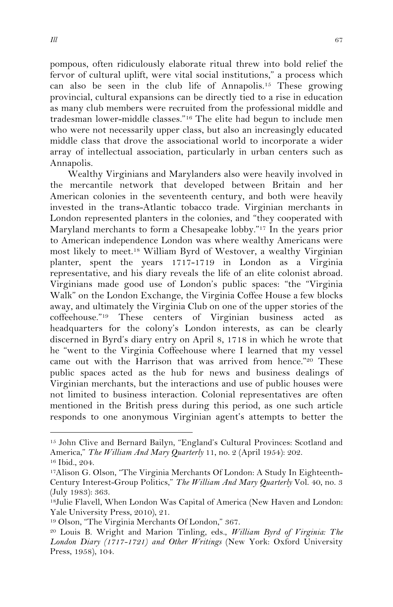pompous, often ridiculously elaborate ritual threw into bold relief the fervor of cultural uplift, were vital social institutions," a process which can also be seen in the club life of Annapolis.15 These growing provincial, cultural expansions can be directly tied to a rise in education as many club members were recruited from the professional middle and tradesman lower-middle classes."16 The elite had begun to include men who were not necessarily upper class, but also an increasingly educated middle class that drove the associational world to incorporate a wider array of intellectual association, particularly in urban centers such as Annapolis.

Wealthy Virginians and Marylanders also were heavily involved in the mercantile network that developed between Britain and her American colonies in the seventeenth century, and both were heavily invested in the trans-Atlantic tobacco trade. Virginian merchants in London represented planters in the colonies, and "they cooperated with Maryland merchants to form a Chesapeake lobby."17 In the years prior to American independence London was where wealthy Americans were most likely to meet.18 William Byrd of Westover, a wealthy Virginian planter, spent the years 1717-1719 in London as a Virginia representative, and his diary reveals the life of an elite colonist abroad. Virginians made good use of London's public spaces: "the "Virginia Walk" on the London Exchange, the Virginia Coffee House a few blocks away, and ultimately the Virginia Club on one of the upper stories of the coffeehouse."<sup>19</sup> These centers of Virginian business acted headquarters for the colony's London interests, as can be clearly discerned in Byrd's diary entry on April 8, 1718 in which he wrote that he "went to the Virginia Coffeehouse where I learned that my vessel came out with the Harrison that was arrived from hence."20 These public spaces acted as the hub for news and business dealings of Virginian merchants, but the interactions and use of public houses were not limited to business interaction. Colonial representatives are often mentioned in the British press during this period, as one such article responds to one anonymous Virginian agent's attempts to better the

<sup>15</sup> John Clive and Bernard Bailyn, "England's Cultural Provinces: Scotland and America," *The William And Mary Quarterly* 11, no. 2 (April 1954): 202.

<sup>16</sup> Ibid., 204.

<sup>17</sup>Alison G. Olson, "The Virginia Merchants Of London: A Study In Eighteenth-Century Interest-Group Politics," *The William And Mary Quarterly* Vol. 40, no. 3 (July 1983): 363.<br><sup>18</sup>Julie Flavell, When London Was Capital of America (New Haven and London:

Yale University Press, 2010), 21.<br><sup>19</sup> Olson, "The Virginia Merchants Of London," 367.

<sup>20</sup> Louis B. Wright and Marion Tinling, eds., *William Byrd of Virginia: The London Diary (1717-1721) and Other Writings* (New York: Oxford University Press, 1958), 104.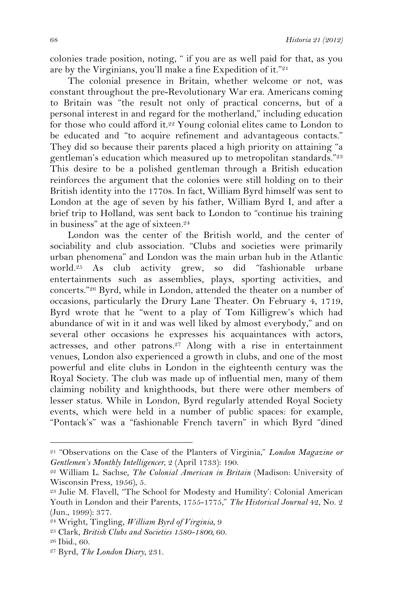colonies trade position, noting, " if you are as well paid for that, as you are by the Virginians, you'll make a fine Expedition of it."21

The colonial presence in Britain, whether welcome or not, was constant throughout the pre-Revolutionary War era. Americans coming to Britain was "the result not only of practical concerns, but of a personal interest in and regard for the motherland," including education for those who could afford it.<sup>22</sup> Young colonial elites came to London to be educated and "to acquire refinement and advantageous contacts." They did so because their parents placed a high priority on attaining "a gentleman's education which measured up to metropolitan standards."23 This desire to be a polished gentleman through a British education reinforces the argument that the colonies were still holding on to their British identity into the 1770s. In fact, William Byrd himself was sent to London at the age of seven by his father, William Byrd I, and after a brief trip to Holland, was sent back to London to "continue his training in business" at the age of sixteen.24

London was the center of the British world, and the center of sociability and club association. "Clubs and societies were primarily urban phenomena" and London was the main urban hub in the Atlantic world.25 As club activity grew, so did "fashionable urbane entertainments such as assemblies, plays, sporting activities, and concerts."26 Byrd, while in London, attended the theater on a number of occasions, particularly the Drury Lane Theater. On February 4, 1719, Byrd wrote that he "went to a play of Tom Killigrew's which had abundance of wit in it and was well liked by almost everybody," and on several other occasions he expresses his acquaintances with actors, actresses, and other patrons.27 Along with a rise in entertainment venues, London also experienced a growth in clubs, and one of the most powerful and elite clubs in London in the eighteenth century was the Royal Society. The club was made up of influential men, many of them claiming nobility and knighthoods, but there were other members of lesser status. While in London, Byrd regularly attended Royal Society events, which were held in a number of public spaces: for example, "Pontack's" was a "fashionable French tavern" in which Byrd "dined

<sup>21 &</sup>quot;Observations on the Case of the Planters of Virginia," *London Magazine or Gentlemen's Monthly Intelligencer*, 2 (April 1733): 190.

<sup>22</sup> William L. Sachse*, The Colonial American in Britain* (Madison: University of Wisconsin Press, 1956), 5.

<sup>23</sup> Julie M. Flavell, "The School for Modesty and Humility': Colonial American Youth in London and their Parents, 1755-1775," *The Historical Journal* 42, No. 2 (Jun., 1999): 377.<br><sup>24</sup> Wright, Tingling, *William Byrd of Virginia*, 9

<sup>&</sup>lt;sup>25</sup> Clark, *British Clubs and Societies 1580-1800*, <sup>60</sup>.

<sup>26</sup> Ibid., 60.

<sup>27</sup> Byrd, *The London Diary*, 231.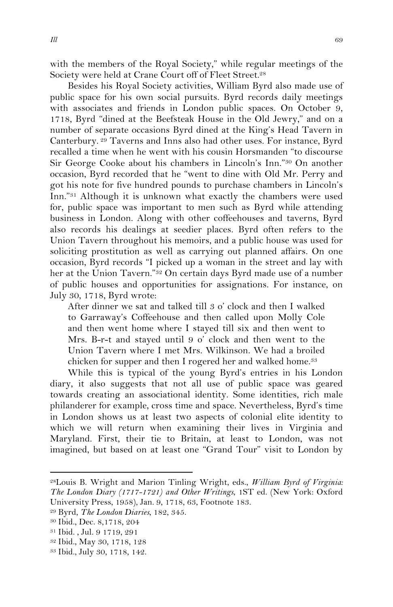with the members of the Royal Society," while regular meetings of the Society were held at Crane Court off of Fleet Street.<sup>28</sup>

Besides his Royal Society activities, William Byrd also made use of public space for his own social pursuits. Byrd records daily meetings with associates and friends in London public spaces. On October 9, 1718, Byrd "dined at the Beefsteak House in the Old Jewry," and on a number of separate occasions Byrd dined at the King's Head Tavern in Canterbury. 29 Taverns and Inns also had other uses. For instance, Byrd recalled a time when he went with his cousin Horsmanden "to discourse Sir George Cooke about his chambers in Lincoln's Inn."30 On another occasion, Byrd recorded that he "went to dine with Old Mr. Perry and got his note for five hundred pounds to purchase chambers in Lincoln's Inn."31 Although it is unknown what exactly the chambers were used for, public space was important to men such as Byrd while attending business in London. Along with other coffeehouses and taverns, Byrd also records his dealings at seedier places. Byrd often refers to the Union Tavern throughout his memoirs, and a public house was used for soliciting prostitution as well as carrying out planned affairs. On one occasion, Byrd records "I picked up a woman in the street and lay with her at the Union Tavern."32 On certain days Byrd made use of a number of public houses and opportunities for assignations. For instance, on July 30, 1718, Byrd wrote:

After dinner we sat and talked till 3 o' clock and then I walked to Garraway's Coffeehouse and then called upon Molly Cole and then went home where I stayed till six and then went to Mrs. B-r-t and stayed until 9 o' clock and then went to the Union Tavern where I met Mrs. Wilkinson. We had a broiled chicken for supper and then I rogered her and walked home.<sup>33</sup>

While this is typical of the young Byrd's entries in his London diary, it also suggests that not all use of public space was geared towards creating an associational identity. Some identities, rich male philanderer for example, cross time and space. Nevertheless, Byrd's time in London shows us at least two aspects of colonial elite identity to which we will return when examining their lives in Virginia and Maryland. First, their tie to Britain, at least to London, was not imagined, but based on at least one "Grand Tour" visit to London by

<sup>28</sup>Louis B. Wright and Marion Tinling Wright, eds., *William Byrd of Virginia: The London Diary (1717-1721) and Other Writings*, 1ST ed. (New York: Oxford University Press, 1958), Jan. 9, 1718, 63, Footnote 183. 29 Byrd, *The London Diaries*, 182, 345.

<sup>30</sup> Ibid., Dec. 8,1718, 204

<sup>31</sup> Ibid. , Jul. 9 1719, 291

<sup>32</sup> Ibid., May 30, 1718, 128

<sup>33</sup> Ibid., July 30, 1718, 142.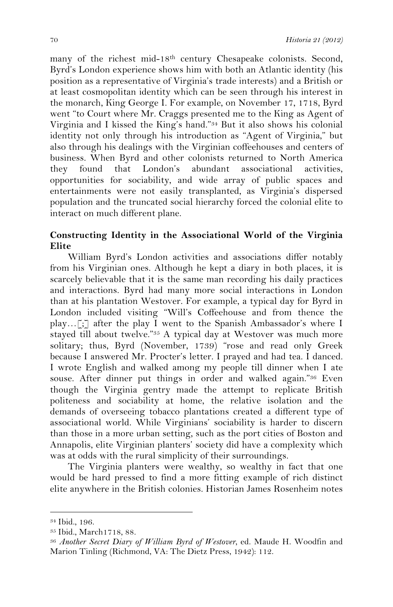many of the richest mid-18<sup>th</sup> century Chesapeake colonists. Second, Byrd's London experience shows him with both an Atlantic identity (his position as a representative of Virginia's trade interests) and a British or at least cosmopolitan identity which can be seen through his interest in the monarch, King George I. For example, on November 17, 1718, Byrd went "to Court where Mr. Craggs presented me to the King as Agent of Virginia and I kissed the King's hand."34 But it also shows his colonial identity not only through his introduction as "Agent of Virginia," but also through his dealings with the Virginian coffeehouses and centers of business. When Byrd and other colonists returned to North America they found that London's abundant associational activities, opportunities for sociability, and wide array of public spaces and entertainments were not easily transplanted, as Virginia's dispersed population and the truncated social hierarchy forced the colonial elite to interact on much different plane.

### **Constructing Identity in the Associational World of the Virginia Elite**

William Byrd's London activities and associations differ notably from his Virginian ones. Although he kept a diary in both places, it is scarcely believable that it is the same man recording his daily practices and interactions. Byrd had many more social interactions in London than at his plantation Westover. For example, a typical day for Byrd in London included visiting "Will's Coffeehouse and from thence the play…[;] after the play I went to the Spanish Ambassador's where I stayed till about twelve."35 A typical day at Westover was much more solitary; thus, Byrd (November, 1739) "rose and read only Greek because I answered Mr. Procter's letter. I prayed and had tea. I danced. I wrote English and walked among my people till dinner when I ate souse. After dinner put things in order and walked again."<sup>36</sup> Even though the Virginia gentry made the attempt to replicate British politeness and sociability at home, the relative isolation and the demands of overseeing tobacco plantations created a different type of associational world. While Virginians' sociability is harder to discern than those in a more urban setting, such as the port cities of Boston and Annapolis, elite Virginian planters' society did have a complexity which was at odds with the rural simplicity of their surroundings.

The Virginia planters were wealthy, so wealthy in fact that one would be hard pressed to find a more fitting example of rich distinct elite anywhere in the British colonies. Historian James Rosenheim notes

<sup>34</sup> Ibid., 196.

<sup>35</sup> Ibid., March1718, 88. 36 *Another Secret Diary of William Byrd of Westover*, ed. Maude H. Woodfin and Marion Tinling (Richmond, VA: The Dietz Press, 1942): 112.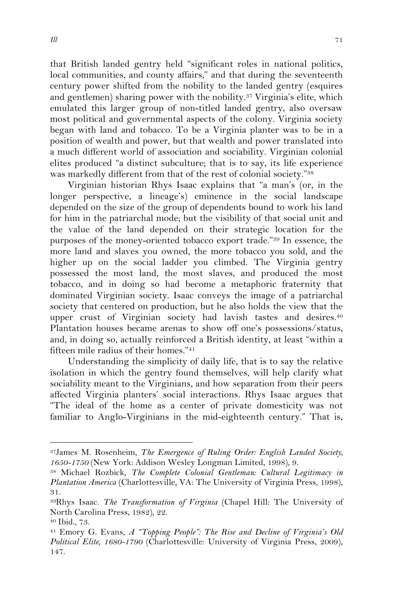that British landed gentry held "significant roles in national politics, local communities, and county affairs," and that during the seventeenth century power shifted from the nobility to the landed gentry (esquires and gentlemen) sharing power with the nobility.<sup>37</sup> Virginia's elite, which emulated this larger group of non-titled landed gentry, also oversaw most political and governmental aspects of the colony. Virginia society began with land and tobacco. To be a Virginia planter was to be in a position of wealth and power, but that wealth and power translated into a much different world of association and sociability. Virginian colonial elites produced "a distinct subculture; that is to say, its life experience was markedly different from that of the rest of colonial society."38

Virginian historian Rhys Isaac explains that "a man's (or, in the longer perspective, a lineage's) eminence in the social landscape depended on the size of the group of dependents bound to work his land for him in the patriarchal mode; but the visibility of that social unit and the value of the land depended on their strategic location for the purposes of the money-oriented tobacco export trade."39 In essence, the more land and slaves you owned, the more tobacco you sold, and the higher up on the social ladder you climbed. The Virginia gentry possessed the most land, the most slaves, and produced the most tobacco, and in doing so had become a metaphoric fraternity that dominated Virginian society. Isaac conveys the image of a patriarchal society that centered on production, but he also holds the view that the upper crust of Virginian society had lavish tastes and desires.40 Plantation houses became arenas to show off one's possessions/status, and, in doing so, actually reinforced a British identity, at least "within a fifteen mile radius of their homes."41

Understanding the simplicity of daily life, that is to say the relative isolation in which the gentry found themselves, will help clarify what sociability meant to the Virginians, and how separation from their peers affected Virginia planters' social interactions. Rhys Isaac argues that "The ideal of the home as a center of private domesticity was not familiar to Anglo-Virginians in the mid-eighteenth century." That is,

<sup>37</sup>James M. Rosenheim, *The Emergence of Ruling Order: English Landed Society, 1650-1750* (New York: Addison Wesley Longman Limited, 1998), 9.

<sup>38</sup> Michael Rozbick, *The Complete Colonial Gentleman: Cultural Legitimacy in Plantation America* (Charlottesville, VA: The University of Virginia Press, 1998),

<sup>31. 39</sup>Rhys Isaac. *The Transformation of Virginia* (Chapel Hill: The University of North Carolina Press, 1982), 22.

<sup>40</sup> Ibid., 73.

<sup>41</sup> Emory G. Evans, *A "Topping People": The Rise and Decline of Virginia's Old Political Elite, 1680-1790* (Charlottesville: University of Virginia Press, 2009), 147.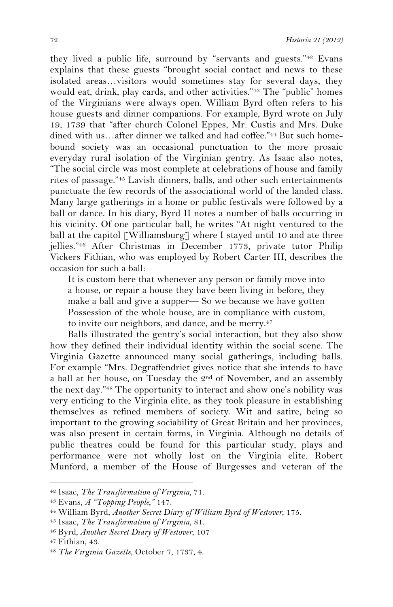they lived a public life, surround by "servants and guests."42 Evans explains that these guests "brought social contact and news to these isolated areas…visitors would sometimes stay for several days, they would eat, drink, play cards, and other activities."43 The "public" homes of the Virginians were always open. William Byrd often refers to his house guests and dinner companions. For example, Byrd wrote on July 19, 1739 that "after church Colonel Eppes, Mr. Custis and Mrs. Duke dined with us…after dinner we talked and had coffee."44 But such homebound society was an occasional punctuation to the more prosaic everyday rural isolation of the Virginian gentry. As Isaac also notes, "The social circle was most complete at celebrations of house and family rites of passage."45 Lavish dinners, balls, and other such entertainments punctuate the few records of the associational world of the landed class. Many large gatherings in a home or public festivals were followed by a ball or dance. In his diary, Byrd II notes a number of balls occurring in his vicinity. Of one particular ball, he writes "At night ventured to the ball at the capitol [Williamsburg] where I stayed until 10 and ate three jellies."46 After Christmas in December 1773, private tutor Philip Vickers Fithian, who was employed by Robert Carter III, describes the occasion for such a ball:

It is custom here that whenever any person or family move into a house, or repair a house they have been living in before, they make a ball and give a supper— So we because we have gotten Possession of the whole house, are in compliance with custom, to invite our neighbors, and dance, and be merry.<sup>47</sup>

Balls illustrated the gentry's social interaction, but they also show how they defined their individual identity within the social scene. The Virginia Gazette announced many social gatherings, including balls. For example "Mrs. Degraffendriet gives notice that she intends to have a ball at her house, on Tuesday the 2nd of November, and an assembly the next day."48 The opportunity to interact and show one's nobility was very enticing to the Virginia elite, as they took pleasure in establishing themselves as refined members of society. Wit and satire, being so important to the growing sociability of Great Britain and her provinces, was also present in certain forms, in Virginia. Although no details of public theatres could be found for this particular study, plays and performance were not wholly lost on the Virginia elite. Robert Munford, a member of the House of Burgesses and veteran of the

<sup>!!!!!!!!!!!!!!!!!!!!!!!!!!!!!!!!!!!!!!!!!!!!!!!!!!!!!!!</sup> 42 Isaac, *The Transformation of Virginia,* 71.

<sup>43</sup> Evans, *A "Topping People,"* 147. 44 William Byrd, *Another Secret Diary of William Byrd of Westover*, 175. 45 Isaac, *The Transformation of Virginia*, 81.

<sup>46</sup> Byrd*, Another Secret Diary of Westover*, 107

<sup>47</sup> Fithian, 43.

<sup>48</sup> *The Virginia Gazette*, October 7, 1737, 4.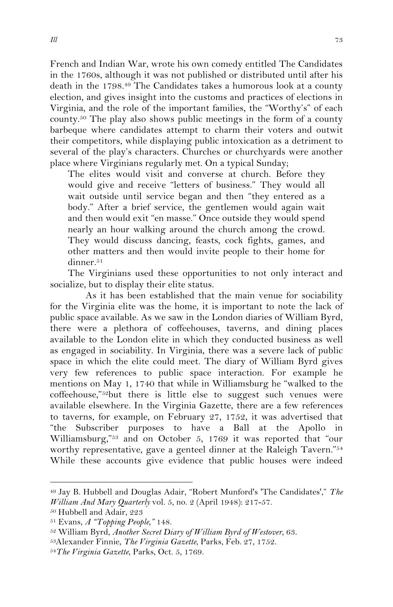French and Indian War, wrote his own comedy entitled The Candidates in the 1760s, although it was not published or distributed until after his death in the 1798.49 The Candidates takes a humorous look at a county election, and gives insight into the customs and practices of elections in Virginia, and the role of the important families, the "Worthy's" of each county.50 The play also shows public meetings in the form of a county barbeque where candidates attempt to charm their voters and outwit their competitors, while displaying public intoxication as a detriment to several of the play's characters. Churches or churchyards were another place where Virginians regularly met. On a typical Sunday;

The elites would visit and converse at church. Before they would give and receive "letters of business." They would all wait outside until service began and then "they entered as a body." After a brief service, the gentlemen would again wait and then would exit "en masse." Once outside they would spend nearly an hour walking around the church among the crowd. They would discuss dancing, feasts, cock fights, games, and other matters and then would invite people to their home for dinner.<sup>51</sup>

The Virginians used these opportunities to not only interact and socialize, but to display their elite status.

As it has been established that the main venue for sociability for the Virginia elite was the home, it is important to note the lack of public space available. As we saw in the London diaries of William Byrd, there were a plethora of coffeehouses, taverns, and dining places available to the London elite in which they conducted business as well as engaged in sociability. In Virginia, there was a severe lack of public space in which the elite could meet. The diary of William Byrd gives very few references to public space interaction. For example he mentions on May 1, 1740 that while in Williamsburg he "walked to the coffeehouse,"52but there is little else to suggest such venues were available elsewhere. In the Virginia Gazette, there are a few references to taverns, for example, on February 27, 1752, it was advertised that "the Subscriber purposes to have a Ball at the Apollo in Williamsburg,"53 and on October 5, 1769 it was reported that "our worthy representative, gave a genteel dinner at the Raleigh Tavern."54 While these accounts give evidence that public houses were indeed

<sup>49</sup> Jay B. Hubbell and Douglas Adair, "Robert Munford's 'The Candidates'," *The William And Mary Quarterly* vol. 5, no. 2 (April 1948): 217-57. 50 Hubbell and Adair, 223

<sup>51</sup> Evans, *A "Topping People,"* 148.

<sup>52</sup> William Byrd, *Another Secret Diary of William Byrd of Westover*, 63.

<sup>53</sup>Alexander Finnie, *The Virginia Gazette*, Parks, Feb. 27, 1752.

<sup>54</sup>*The Virginia Gazette*, Parks, Oct. 5, 1769.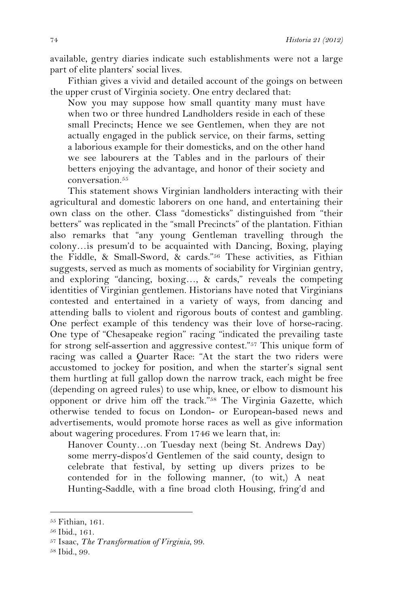available, gentry diaries indicate such establishments were not a large part of elite planters' social lives.

Fithian gives a vivid and detailed account of the goings on between the upper crust of Virginia society. One entry declared that:

Now you may suppose how small quantity many must have when two or three hundred Landholders reside in each of these small Precincts; Hence we see Gentlemen, when they are not actually engaged in the publick service, on their farms, setting a laborious example for their domesticks, and on the other hand we see labourers at the Tables and in the parlours of their betters enjoying the advantage, and honor of their society and conversation.<sup>55</sup>

This statement shows Virginian landholders interacting with their agricultural and domestic laborers on one hand, and entertaining their own class on the other. Class "domesticks" distinguished from "their betters" was replicated in the "small Precincts" of the plantation. Fithian also remarks that "any young Gentleman travelling through the colony…is presum'd to be acquainted with Dancing, Boxing, playing the Fiddle, & Small-Sword, & cards."56 These activities, as Fithian suggests, served as much as moments of sociability for Virginian gentry, and exploring "dancing, boxing…, & cards," reveals the competing identities of Virginian gentlemen. Historians have noted that Virginians contested and entertained in a variety of ways, from dancing and attending balls to violent and rigorous bouts of contest and gambling. One perfect example of this tendency was their love of horse-racing. One type of "Chesapeake region" racing "indicated the prevailing taste for strong self-assertion and aggressive contest."57 This unique form of racing was called a Quarter Race: "At the start the two riders were accustomed to jockey for position, and when the starter's signal sent them hurtling at full gallop down the narrow track, each might be free (depending on agreed rules) to use whip, knee, or elbow to dismount his opponent or drive him off the track."58 The Virginia Gazette, which otherwise tended to focus on London- or European-based news and advertisements, would promote horse races as well as give information about wagering procedures. From 1746 we learn that, in:

Hanover County…on Tuesday next (being St. Andrews Day) some merry-dispos'd Gentlemen of the said county, design to celebrate that festival, by setting up divers prizes to be contended for in the following manner, (to wit,) A neat Hunting-Saddle, with a fine broad cloth Housing, fring'd and

<sup>55</sup> Fithian, 161.

<sup>56</sup> Ibid., 161.

<sup>57</sup> Isaac, *The Transformation of Virginia*, 99.

<sup>58</sup> Ibid., 99.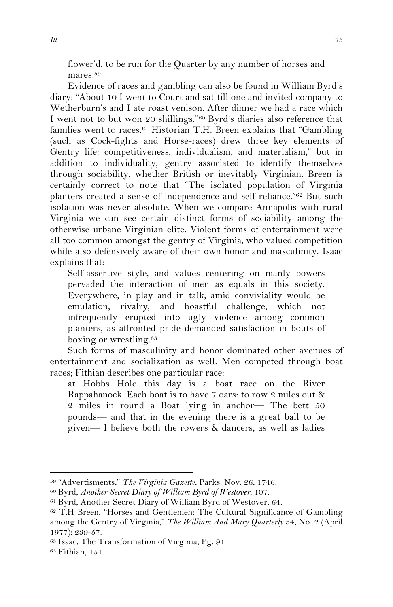flower'd, to be run for the Quarter by any number of horses and mares.59

Evidence of races and gambling can also be found in William Byrd's diary: "About 10 I went to Court and sat till one and invited company to Wetherburn's and I ate roast venison. After dinner we had a race which I went not to but won 20 shillings."60 Byrd's diaries also reference that families went to races.<sup>61</sup> Historian T.H. Breen explains that "Gambling" (such as Cock-fights and Horse-races) drew three key elements of Gentry life: competitiveness, individualism, and materialism," but in addition to individuality, gentry associated to identify themselves through sociability, whether British or inevitably Virginian. Breen is certainly correct to note that "The isolated population of Virginia planters created a sense of independence and self reliance."62 But such isolation was never absolute. When we compare Annapolis with rural Virginia we can see certain distinct forms of sociability among the otherwise urbane Virginian elite. Violent forms of entertainment were all too common amongst the gentry of Virginia, who valued competition while also defensively aware of their own honor and masculinity. Isaac explains that:

Self-assertive style, and values centering on manly powers pervaded the interaction of men as equals in this society. Everywhere, in play and in talk, amid conviviality would be emulation, rivalry, and boastful challenge, which not infrequently erupted into ugly violence among common planters, as affronted pride demanded satisfaction in bouts of boxing or wrestling.63

Such forms of masculinity and honor dominated other avenues of entertainment and socialization as well. Men competed through boat races; Fithian describes one particular race:

at Hobbs Hole this day is a boat race on the River Rappahanock. Each boat is to have 7 oars: to row 2 miles out & 2 miles in round a Boat lying in anchor— The bett 50 pounds— and that in the evening there is a great ball to be given— I believe both the rowers & dancers, as well as ladies

<sup>59 &</sup>quot;Advertisments," *The Virginia Gazette*, Parks. Nov. 26, 1746.

<sup>60</sup> Byrd, *Another Secret Diary of William Byrd of Westover*, 107.

<sup>61</sup> Byrd, Another Secret Diary of William Byrd of Westover, 64.

<sup>62</sup> T.H Breen, "Horses and Gentlemen: The Cultural Significance of Gambling among the Gentry of Virginia," *The William And Mary Quarterly* 34, No. 2 (April 1977): 239-57.

<sup>63</sup> Isaac, The Transformation of Virginia, Pg. 91

<sup>63</sup> Fithian, 151.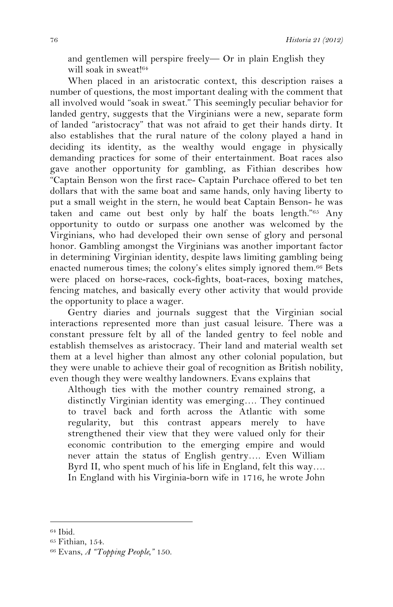and gentlemen will perspire freely— Or in plain English they will soak in sweat!64

When placed in an aristocratic context, this description raises a number of questions, the most important dealing with the comment that all involved would "soak in sweat." This seemingly peculiar behavior for landed gentry, suggests that the Virginians were a new, separate form of landed "aristocracy" that was not afraid to get their hands dirty. It also establishes that the rural nature of the colony played a hand in deciding its identity, as the wealthy would engage in physically demanding practices for some of their entertainment. Boat races also gave another opportunity for gambling, as Fithian describes how "Captain Benson won the first race- Captain Purchace offered to bet ten dollars that with the same boat and same hands, only having liberty to put a small weight in the stern, he would beat Captain Benson- he was taken and came out best only by half the boats length."65 Any opportunity to outdo or surpass one another was welcomed by the Virginians, who had developed their own sense of glory and personal honor. Gambling amongst the Virginians was another important factor in determining Virginian identity, despite laws limiting gambling being enacted numerous times; the colony's elites simply ignored them.66 Bets were placed on horse-races, cock-fights, boat-races, boxing matches, fencing matches, and basically every other activity that would provide the opportunity to place a wager.

Gentry diaries and journals suggest that the Virginian social interactions represented more than just casual leisure. There was a constant pressure felt by all of the landed gentry to feel noble and establish themselves as aristocracy. Their land and material wealth set them at a level higher than almost any other colonial population, but they were unable to achieve their goal of recognition as British nobility, even though they were wealthy landowners. Evans explains that

Although ties with the mother country remained strong, a distinctly Virginian identity was emerging…. They continued to travel back and forth across the Atlantic with some regularity, but this contrast appears merely to have strengthened their view that they were valued only for their economic contribution to the emerging empire and would never attain the status of English gentry…. Even William Byrd II, who spent much of his life in England, felt this way…. In England with his Virginia-born wife in 1716, he wrote John

<sup>64</sup> Ibid.

<sup>65</sup> Fithian, 154.

<sup>66</sup> Evans, *A "Topping People,"* 150.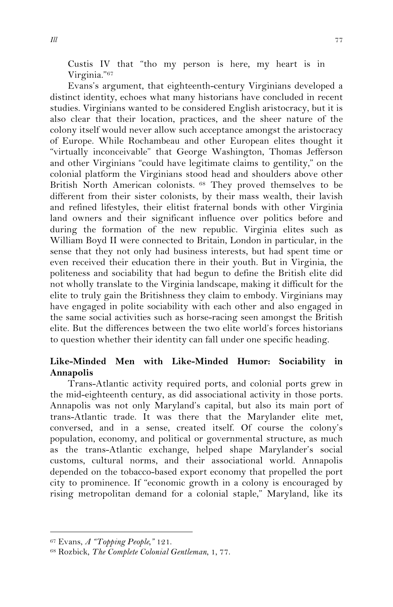Custis IV that "tho my person is here, my heart is in Virginia."67

Evans's argument, that eighteenth-century Virginians developed a distinct identity, echoes what many historians have concluded in recent studies. Virginians wanted to be considered English aristocracy, but it is also clear that their location, practices, and the sheer nature of the colony itself would never allow such acceptance amongst the aristocracy of Europe. While Rochambeau and other European elites thought it "virtually inconceivable" that George Washington, Thomas Jefferson and other Virginians "could have legitimate claims to gentility," on the colonial platform the Virginians stood head and shoulders above other British North American colonists. 68 They proved themselves to be different from their sister colonists, by their mass wealth, their lavish and refined lifestyles, their elitist fraternal bonds with other Virginia land owners and their significant influence over politics before and during the formation of the new republic. Virginia elites such as William Boyd II were connected to Britain, London in particular, in the sense that they not only had business interests, but had spent time or even received their education there in their youth. But in Virginia, the politeness and sociability that had begun to define the British elite did not wholly translate to the Virginia landscape, making it difficult for the elite to truly gain the Britishness they claim to embody. Virginians may have engaged in polite sociability with each other and also engaged in the same social activities such as horse-racing seen amongst the British elite. But the differences between the two elite world's forces historians to question whether their identity can fall under one specific heading.

## **Like-Minded Men with Like-Minded Humor: Sociability in Annapolis**

Trans-Atlantic activity required ports, and colonial ports grew in the mid-eighteenth century, as did associational activity in those ports. Annapolis was not only Maryland's capital, but also its main port of trans-Atlantic trade. It was there that the Marylander elite met, conversed, and in a sense, created itself. Of course the colony's population, economy, and political or governmental structure, as much as the trans-Atlantic exchange, helped shape Marylander's social customs, cultural norms, and their associational world. Annapolis depended on the tobacco-based export economy that propelled the port city to prominence. If "economic growth in a colony is encouraged by rising metropolitan demand for a colonial staple," Maryland, like its

<sup>67</sup> Evans, *A "Topping People,"* 121.

<sup>68</sup> Rozbick, *The Complete Colonial Gentleman*, 1, 77.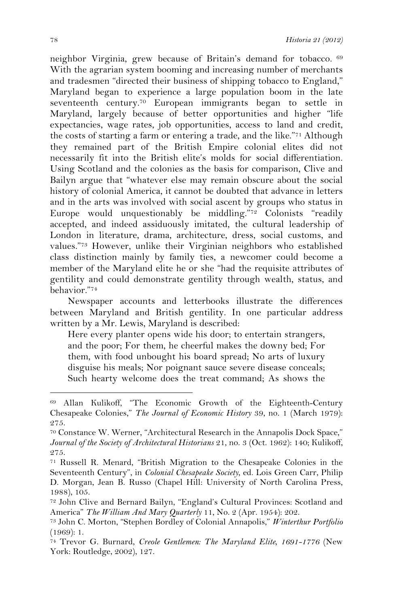neighbor Virginia, grew because of Britain's demand for tobacco. <sup>69</sup> With the agrarian system booming and increasing number of merchants and tradesmen "directed their business of shipping tobacco to England," Maryland began to experience a large population boom in the late seventeenth century.70 European immigrants began to settle in Maryland, largely because of better opportunities and higher "life expectancies, wage rates, job opportunities, access to land and credit, the costs of starting a farm or entering a trade, and the like."71 Although they remained part of the British Empire colonial elites did not necessarily fit into the British elite's molds for social differentiation. Using Scotland and the colonies as the basis for comparison, Clive and Bailyn argue that "whatever else may remain obscure about the social history of colonial America, it cannot be doubted that advance in letters and in the arts was involved with social ascent by groups who status in Europe would unquestionably be middling."72 Colonists "readily accepted, and indeed assiduously imitated, the cultural leadership of London in literature, drama, architecture, dress, social customs, and values."73 However, unlike their Virginian neighbors who established class distinction mainly by family ties, a newcomer could become a member of the Maryland elite he or she "had the requisite attributes of gentility and could demonstrate gentility through wealth, status, and behavior."74

Newspaper accounts and letterbooks illustrate the differences between Maryland and British gentility. In one particular address written by a Mr. Lewis, Maryland is described:

Here every planter opens wide his door; to entertain strangers, and the poor; For them, he cheerful makes the downy bed; For them, with food unbought his board spread; No arts of luxury disguise his meals; Nor poignant sauce severe disease conceals; Such hearty welcome does the treat command; As shows the

<sup>69</sup> Allan Kulikoff, "The Economic Growth of the Eighteenth-Century Chesapeake Colonies," *The Journal of Economic History* 39, no. 1 (March 1979): 275.

<sup>70</sup> Constance W. Werner, "Architectural Research in the Annapolis Dock Space," *Journal of the Society of Architectural Historians* 21, no. 3 (Oct. 1962): 140; Kulikoff, 275.

<sup>71</sup> Russell R. Menard, "British Migration to the Chesapeake Colonies in the Seventeenth Century", in *Colonial Chesapeake Society*, ed. Lois Green Carr, Philip D. Morgan, Jean B. Russo (Chapel Hill: University of North Carolina Press, 1988), 105.

<sup>72</sup> John Clive and Bernard Bailyn, "England's Cultural Provinces: Scotland and America" *The William And Mary Quarterly* 11, No. 2 (Apr. 1954): 202.

<sup>73</sup> John C. Morton, "Stephen Bordley of Colonial Annapolis," *Winterthur Portfolio* (1969): 1.

<sup>74</sup> Trevor G. Burnard, *Creole Gentlemen: The Maryland Elite, 1691-1776* (New York: Routledge, 2002), 127.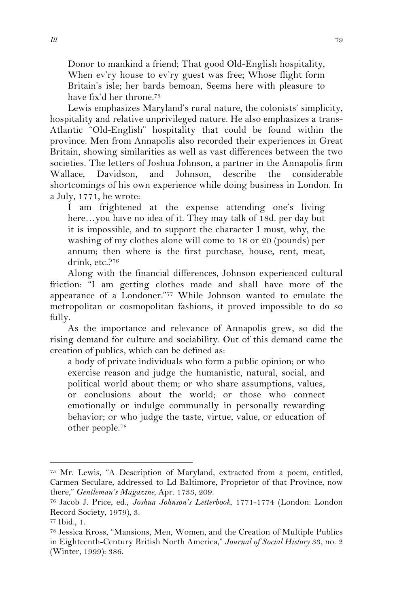Donor to mankind a friend; That good Old-English hospitality, When ev'ry house to ev'ry guest was free; Whose flight form Britain's isle; her bards bemoan, Seems here with pleasure to have fix'd her throne.75

Lewis emphasizes Maryland's rural nature, the colonists' simplicity, hospitality and relative unprivileged nature. He also emphasizes a trans-Atlantic "Old-English" hospitality that could be found within the province. Men from Annapolis also recorded their experiences in Great Britain, showing similarities as well as vast differences between the two societies. The letters of Joshua Johnson, a partner in the Annapolis firm Wallace, Davidson, and Johnson, describe the considerable shortcomings of his own experience while doing business in London. In a July, 1771, he wrote:

I am frightened at the expense attending one's living here…you have no idea of it. They may talk of 18d. per day but it is impossible, and to support the character I must, why, the washing of my clothes alone will come to 18 or 20 (pounds) per annum; then where is the first purchase, house, rent, meat, drink, etc.?76

Along with the financial differences, Johnson experienced cultural friction: "I am getting clothes made and shall have more of the appearance of a Londoner."77 While Johnson wanted to emulate the metropolitan or cosmopolitan fashions, it proved impossible to do so fully.

As the importance and relevance of Annapolis grew, so did the rising demand for culture and sociability. Out of this demand came the creation of publics, which can be defined as:

a body of private individuals who form a public opinion; or who exercise reason and judge the humanistic, natural, social, and political world about them; or who share assumptions, values, or conclusions about the world; or those who connect emotionally or indulge communally in personally rewarding behavior; or who judge the taste, virtue, value, or education of other people.78

<sup>75</sup> Mr. Lewis, "A Description of Maryland, extracted from a poem, entitled, Carmen Seculare, addressed to Ld Baltimore, Proprietor of that Province, now there," *Gentleman's Magazine*, Apr. 1733, 209. 76 Jacob J. Price, ed., *Joshua Johnson's Letterbook*, 1771-1774 (London: London

Record Society, 1979), 3.

<sup>77</sup> Ibid., 1.

<sup>78</sup> Jessica Kross, "Mansions, Men, Women, and the Creation of Multiple Publics in Eighteenth-Century British North America," *Journal of Social History* 33, no. 2 (Winter, 1999): 386.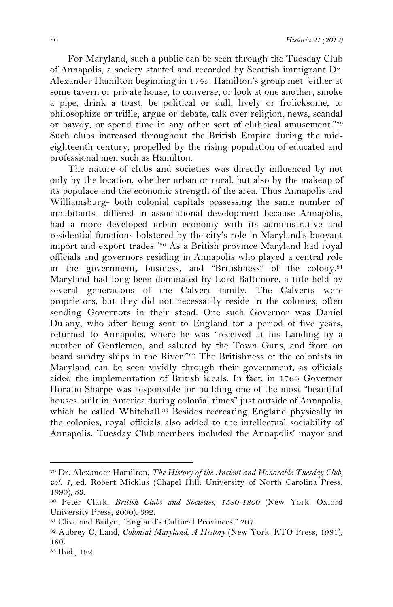For Maryland, such a public can be seen through the Tuesday Club of Annapolis, a society started and recorded by Scottish immigrant Dr. Alexander Hamilton beginning in 1745. Hamilton's group met "either at some tavern or private house, to converse, or look at one another, smoke a pipe, drink a toast, be political or dull, lively or frolicksome, to philosophize or triffle, argue or debate, talk over religion, news, scandal or bawdy, or spend time in any other sort of clubbical amusement."79 Such clubs increased throughout the British Empire during the mideighteenth century, propelled by the rising population of educated and professional men such as Hamilton.

The nature of clubs and societies was directly influenced by not only by the location, whether urban or rural, but also by the makeup of its populace and the economic strength of the area. Thus Annapolis and Williamsburg- both colonial capitals possessing the same number of inhabitants- differed in associational development because Annapolis, had a more developed urban economy with its administrative and residential functions bolstered by the city's role in Maryland's buoyant import and export trades."80 As a British province Maryland had royal officials and governors residing in Annapolis who played a central role in the government, business, and "Britishness" of the colony.81 Maryland had long been dominated by Lord Baltimore, a title held by several generations of the Calvert family. The Calverts were proprietors, but they did not necessarily reside in the colonies, often sending Governors in their stead. One such Governor was Daniel Dulany, who after being sent to England for a period of five years, returned to Annapolis, where he was "received at his Landing by a number of Gentlemen, and saluted by the Town Guns, and from on board sundry ships in the River."82 The Britishness of the colonists in Maryland can be seen vividly through their government, as officials aided the implementation of British ideals. In fact, in 1764 Governor Horatio Sharpe was responsible for building one of the most "beautiful houses built in America during colonial times" just outside of Annapolis, which he called Whitehall.<sup>83</sup> Besides recreating England physically in the colonies, royal officials also added to the intellectual sociability of Annapolis. Tuesday Club members included the Annapolis' mayor and

<sup>79</sup> Dr. Alexander Hamilton, *The History of the Ancient and Honorable Tuesday Club, vol. 1*, ed. Robert Micklus (Chapel Hill: University of North Carolina Press, 1990), 33.

<sup>80</sup> Peter Clark, *British Clubs and Societies, 1580-1800* (New York: Oxford University Press, 2000), 392.<br><sup>81</sup> Clive and Bailyn, "England's Cultural Provinces," 207.

<sup>82</sup> Aubrey C. Land, *Colonial Maryland, A History* (New York: KTO Press, 1981), 180.

<sup>83</sup> Ibid., 182.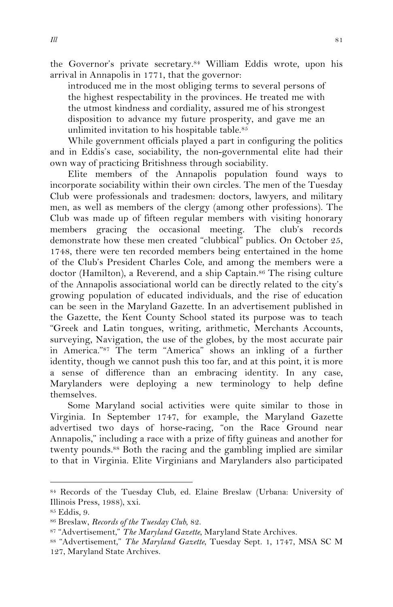the Governor's private secretary.84 William Eddis wrote, upon his arrival in Annapolis in 1771, that the governor:

introduced me in the most obliging terms to several persons of the highest respectability in the provinces. He treated me with the utmost kindness and cordiality, assured me of his strongest disposition to advance my future prosperity, and gave me an unlimited invitation to his hospitable table.85

While government officials played a part in configuring the politics and in Eddis's case, sociability, the non-governmental elite had their own way of practicing Britishness through sociability.

Elite members of the Annapolis population found ways to incorporate sociability within their own circles. The men of the Tuesday Club were professionals and tradesmen: doctors, lawyers, and military men, as well as members of the clergy (among other professions). The Club was made up of fifteen regular members with visiting honorary members gracing the occasional meeting. The club's records demonstrate how these men created "clubbical" publics. On October 25, 1748, there were ten recorded members being entertained in the home of the Club's President Charles Cole, and among the members were a doctor (Hamilton), a Reverend, and a ship Captain.<sup>86</sup> The rising culture of the Annapolis associational world can be directly related to the city's growing population of educated individuals, and the rise of education can be seen in the Maryland Gazette. In an advertisement published in the Gazette, the Kent County School stated its purpose was to teach "Greek and Latin tongues, writing, arithmetic, Merchants Accounts, surveying, Navigation, the use of the globes, by the most accurate pair in America."87 The term "America" shows an inkling of a further identity, though we cannot push this too far, and at this point, it is more a sense of difference than an embracing identity. In any case, Marylanders were deploying a new terminology to help define themselves.

Some Maryland social activities were quite similar to those in Virginia. In September 1747, for example, the Maryland Gazette advertised two days of horse-racing, "on the Race Ground near Annapolis," including a race with a prize of fifty guineas and another for twenty pounds.88 Both the racing and the gambling implied are similar to that in Virginia. Elite Virginians and Marylanders also participated

<sup>84</sup> Records of the Tuesday Club, ed. Elaine Breslaw (Urbana: University of Illinois Press, 1988), xxi.

<sup>85</sup> Eddis, 9.

<sup>86</sup> Breslaw, *Records of the Tuesday Club*, 82.

<sup>87 &</sup>quot;Advertisement," *The Maryland Gazette*, Maryland State Archives.

<sup>88 &</sup>quot;Advertisement," *The Maryland Gazette*, Tuesday Sept. 1, 1747, MSA SC M 127, Maryland State Archives.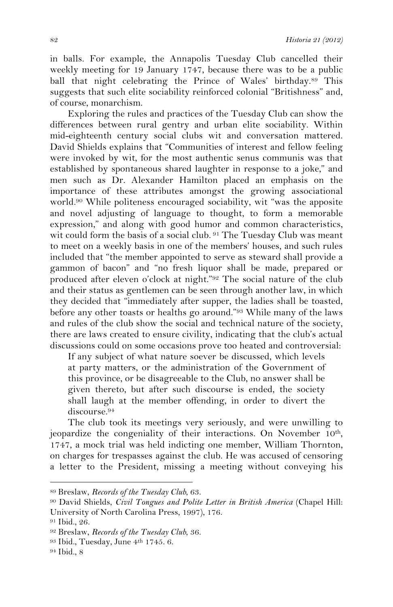in balls. For example, the Annapolis Tuesday Club cancelled their weekly meeting for 19 January 1747, because there was to be a public ball that night celebrating the Prince of Wales' birthday.89 This suggests that such elite sociability reinforced colonial "Britishness" and, of course, monarchism.

Exploring the rules and practices of the Tuesday Club can show the differences between rural gentry and urban elite sociability. Within mid-eighteenth century social clubs wit and conversation mattered. David Shields explains that "Communities of interest and fellow feeling were invoked by wit, for the most authentic senus communis was that established by spontaneous shared laughter in response to a joke," and men such as Dr. Alexander Hamilton placed an emphasis on the importance of these attributes amongst the growing associational world.90 While politeness encouraged sociability, wit "was the apposite and novel adjusting of language to thought, to form a memorable expression," and along with good humor and common characteristics, wit could form the basis of a social club. <sup>91</sup> The Tuesday Club was meant to meet on a weekly basis in one of the members' houses, and such rules included that "the member appointed to serve as steward shall provide a gammon of bacon" and "no fresh liquor shall be made, prepared or produced after eleven o'clock at night."92 The social nature of the club and their status as gentlemen can be seen through another law, in which they decided that "immediately after supper, the ladies shall be toasted, before any other toasts or healths go around."93 While many of the laws and rules of the club show the social and technical nature of the society, there are laws created to ensure civility, indicating that the club's actual discussions could on some occasions prove too heated and controversial:

If any subject of what nature soever be discussed, which levels at party matters, or the administration of the Government of this province, or be disagreeable to the Club, no answer shall be given thereto, but after such discourse is ended, the society shall laugh at the member offending, in order to divert the discourse.94

The club took its meetings very seriously, and were unwilling to jeopardize the congeniality of their interactions. On November 10th, 1747, a mock trial was held indicting one member, William Thornton, on charges for trespasses against the club. He was accused of censoring a letter to the President, missing a meeting without conveying his

<sup>!!!!!!!!!!!!!!!!!!!!!!!!!!!!!!!!!!!!!!!!!!!!!!!!!!!!!!!</sup> <sup>89</sup> Breslaw, *Records of the Tuesday Club*, 63.

<sup>90</sup> David Shields, *Civil Tongues and Polite Letter in British America* (Chapel Hill: University of North Carolina Press, 1997), 176.

<sup>91</sup> Ibid., 26.

<sup>92</sup> Breslaw, *Records of the Tuesday Club*, 36.

<sup>93</sup> Ibid., Tuesday, June 4th 1745. 6.

<sup>94</sup> Ibid., 8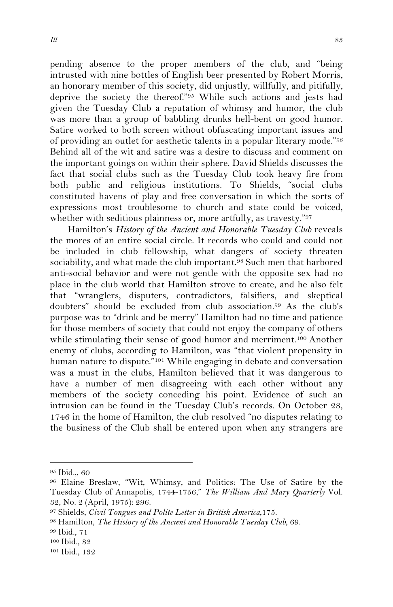pending absence to the proper members of the club, and "being intrusted with nine bottles of English beer presented by Robert Morris, an honorary member of this society, did unjustly, willfully, and pitifully, deprive the society the thereof."95 While such actions and jests had given the Tuesday Club a reputation of whimsy and humor, the club was more than a group of babbling drunks hell-bent on good humor. Satire worked to both screen without obfuscating important issues and of providing an outlet for aesthetic talents in a popular literary mode."96 Behind all of the wit and satire was a desire to discuss and comment on the important goings on within their sphere. David Shields discusses the fact that social clubs such as the Tuesday Club took heavy fire from both public and religious institutions. To Shields, "social clubs constituted havens of play and free conversation in which the sorts of expressions most troublesome to church and state could be voiced, whether with seditious plainness or, more artfully, as travesty."97

Hamilton's *History of the Ancient and Honorable Tuesday Club* reveals the mores of an entire social circle. It records who could and could not be included in club fellowship, what dangers of society threaten sociability, and what made the club important.<sup>98</sup> Such men that harbored anti-social behavior and were not gentle with the opposite sex had no place in the club world that Hamilton strove to create, and he also felt that "wranglers, disputers, contradictors, falsifiers, and skeptical doubters" should be excluded from club association.99 As the club's purpose was to "drink and be merry" Hamilton had no time and patience for those members of society that could not enjoy the company of others while stimulating their sense of good humor and merriment.100 Another enemy of clubs, according to Hamilton, was "that violent propensity in human nature to dispute."<sup>101</sup> While engaging in debate and conversation was a must in the clubs, Hamilton believed that it was dangerous to have a number of men disagreeing with each other without any members of the society conceding his point. Evidence of such an intrusion can be found in the Tuesday Club's records. On October 28, 1746 in the home of Hamilton, the club resolved "no disputes relating to the business of the Club shall be entered upon when any strangers are

<sup>95</sup> Ibid.,, 60

<sup>96</sup> Elaine Breslaw, "Wit, Whimsy, and Politics: The Use of Satire by the Tuesday Club of Annapolis, 1744-1756," *The William And Mary Quarterly* Vol. 32, No. 2 (April, 1975): 296.

<sup>97</sup> Shields, *Civil Tongues and Polite Letter in British America*,175. 98 Hamilton, *The History of the Ancient and Honorable Tuesday Club*, 69.

<sup>99</sup> Ibid., 71

<sup>100</sup> Ibid., 82

<sup>101</sup> Ibid., 132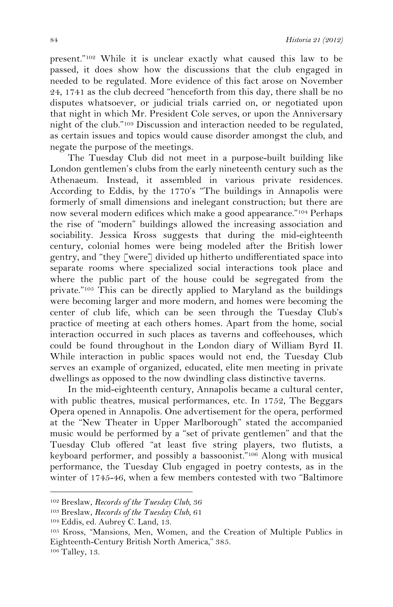present."102 While it is unclear exactly what caused this law to be passed, it does show how the discussions that the club engaged in needed to be regulated. More evidence of this fact arose on November 24, 1741 as the club decreed "henceforth from this day, there shall be no disputes whatsoever, or judicial trials carried on, or negotiated upon that night in which Mr. President Cole serves, or upon the Anniversary night of the club."103 Discussion and interaction needed to be regulated, as certain issues and topics would cause disorder amongst the club, and negate the purpose of the meetings.

The Tuesday Club did not meet in a purpose-built building like London gentlemen's clubs from the early nineteenth century such as the Athenaeum. Instead, it assembled in various private residences. According to Eddis, by the 1770's "The buildings in Annapolis were formerly of small dimensions and inelegant construction; but there are now several modern edifices which make a good appearance."104 Perhaps the rise of "modern" buildings allowed the increasing association and sociability. Jessica Kross suggests that during the mid-eighteenth century, colonial homes were being modeled after the British lower gentry, and "they [were] divided up hitherto undifferentiated space into separate rooms where specialized social interactions took place and where the public part of the house could be segregated from the private."105 This can be directly applied to Maryland as the buildings were becoming larger and more modern, and homes were becoming the center of club life, which can be seen through the Tuesday Club's practice of meeting at each others homes. Apart from the home, social interaction occurred in such places as taverns and coffeehouses, which could be found throughout in the London diary of William Byrd II. While interaction in public spaces would not end, the Tuesday Club serves an example of organized, educated, elite men meeting in private dwellings as opposed to the now dwindling class distinctive taverns.

In the mid-eighteenth century, Annapolis became a cultural center, with public theatres, musical performances, etc. In 1752, The Beggars Opera opened in Annapolis. One advertisement for the opera, performed at the "New Theater in Upper Marlborough" stated the accompanied music would be performed by a "set of private gentlemen" and that the Tuesday Club offered "at least five string players, two flutists, a keyboard performer, and possibly a bassoonist."106 Along with musical performance, the Tuesday Club engaged in poetry contests, as in the winter of 1745-46, when a few members contested with two "Baltimore

<sup>!!!!!!!!!!!!!!!!!!!!!!!!!!!!!!!!!!!!!!!!!!!!!!!!!!!!!!!</sup> 102 Breslaw, *Records of the Tuesday Club*, 36

<sup>103</sup> Breslaw, *Records of the Tuesday Club*, 61

<sup>104</sup> Eddis, ed. Aubrey C. Land, 13.

<sup>105</sup> Kross, "Mansions, Men, Women, and the Creation of Multiple Publics in Eighteenth-Century British North America," 385. 106 Talley, 13.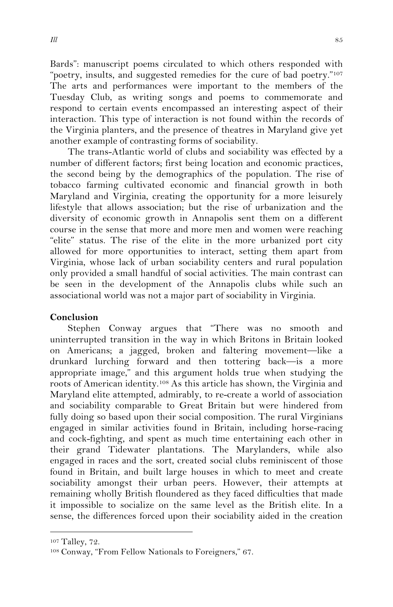Bards": manuscript poems circulated to which others responded with "poetry, insults, and suggested remedies for the cure of bad poetry."107 The arts and performances were important to the members of the Tuesday Club, as writing songs and poems to commemorate and respond to certain events encompassed an interesting aspect of their interaction. This type of interaction is not found within the records of the Virginia planters, and the presence of theatres in Maryland give yet another example of contrasting forms of sociability.

The trans-Atlantic world of clubs and sociability was effected by a number of different factors; first being location and economic practices, the second being by the demographics of the population. The rise of tobacco farming cultivated economic and financial growth in both Maryland and Virginia, creating the opportunity for a more leisurely lifestyle that allows association; but the rise of urbanization and the diversity of economic growth in Annapolis sent them on a different course in the sense that more and more men and women were reaching "elite" status. The rise of the elite in the more urbanized port city allowed for more opportunities to interact, setting them apart from Virginia, whose lack of urban sociability centers and rural population only provided a small handful of social activities. The main contrast can be seen in the development of the Annapolis clubs while such an associational world was not a major part of sociability in Virginia.

#### **Conclusion**

Stephen Conway argues that "There was no smooth and uninterrupted transition in the way in which Britons in Britain looked on Americans; a jagged, broken and faltering movement—like a drunkard lurching forward and then tottering back—is a more appropriate image," and this argument holds true when studying the roots of American identity.108 As this article has shown, the Virginia and Maryland elite attempted, admirably, to re-create a world of association and sociability comparable to Great Britain but were hindered from fully doing so based upon their social composition. The rural Virginians engaged in similar activities found in Britain, including horse-racing and cock-fighting, and spent as much time entertaining each other in their grand Tidewater plantations. The Marylanders, while also engaged in races and the sort, created social clubs reminiscent of those found in Britain, and built large houses in which to meet and create sociability amongst their urban peers. However, their attempts at remaining wholly British floundered as they faced difficulties that made it impossible to socialize on the same level as the British elite. In a sense, the differences forced upon their sociability aided in the creation

<sup>107</sup> Talley, 72.

<sup>108</sup> Conway, "From Fellow Nationals to Foreigners," 67.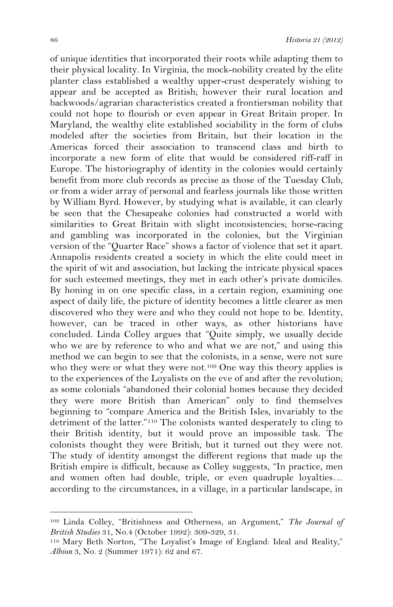of unique identities that incorporated their roots while adapting them to their physical locality. In Virginia, the mock-nobility created by the elite planter class established a wealthy upper-crust desperately wishing to appear and be accepted as British; however their rural location and backwoods/agrarian characteristics created a frontiersman nobility that could not hope to flourish or even appear in Great Britain proper. In Maryland, the wealthy elite established sociability in the form of clubs modeled after the societies from Britain, but their location in the Americas forced their association to transcend class and birth to incorporate a new form of elite that would be considered riff-raff in Europe. The historiography of identity in the colonies would certainly benefit from more club records as precise as those of the Tuesday Club, or from a wider array of personal and fearless journals like those written by William Byrd. However, by studying what is available, it can clearly be seen that the Chesapeake colonies had constructed a world with similarities to Great Britain with slight inconsistencies; horse-racing and gambling was incorporated in the colonies, but the Virginian version of the "Quarter Race" shows a factor of violence that set it apart. Annapolis residents created a society in which the elite could meet in the spirit of wit and association, but lacking the intricate physical spaces for such esteemed meetings, they met in each other's private domiciles. By honing in on one specific class, in a certain region, examining one aspect of daily life, the picture of identity becomes a little clearer as men discovered who they were and who they could not hope to be. Identity, however, can be traced in other ways, as other historians have concluded. Linda Colley argues that "Quite simply, we usually decide who we are by reference to who and what we are not," and using this method we can begin to see that the colonists, in a sense, were not sure who they were or what they were not.<sup>109</sup> One way this theory applies is to the experiences of the Loyalists on the eve of and after the revolution; as some colonials "abandoned their colonial homes because they decided they were more British than American" only to find themselves beginning to "compare America and the British Isles, invariably to the detriment of the latter."110 The colonists wanted desperately to cling to their British identity, but it would prove an impossible task. The colonists thought they were British, but it turned out they were not. The study of identity amongst the different regions that made up the British empire is difficult, because as Colley suggests, "In practice, men and women often had double, triple, or even quadruple loyalties… according to the circumstances, in a village, in a particular landscape, in

<sup>109</sup> Linda Colley, "Britishness and Otherness, an Argument," *The Journal of British Studies* 31, No.4 (October 1992): 309-329, 31.

<sup>110</sup> Mary Beth Norton, "The Loyalist's Image of England: Ideal and Reality," *Albion* 3, No. 2 (Summer 1971): 62 and 67.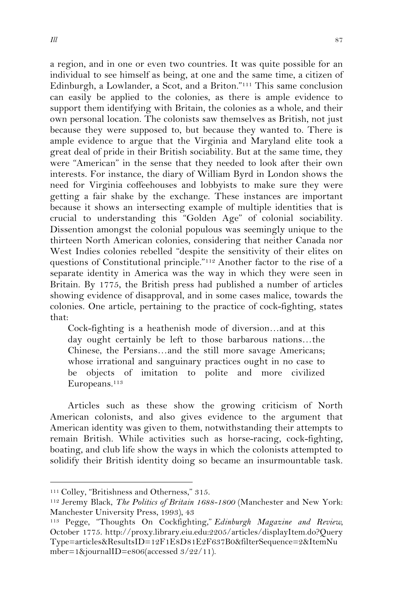a region, and in one or even two countries. It was quite possible for an individual to see himself as being, at one and the same time, a citizen of Edinburgh, a Lowlander, a Scot, and a Briton."111 This same conclusion can easily be applied to the colonies, as there is ample evidence to support them identifying with Britain, the colonies as a whole, and their own personal location. The colonists saw themselves as British, not just because they were supposed to, but because they wanted to. There is ample evidence to argue that the Virginia and Maryland elite took a great deal of pride in their British sociability. But at the same time, they were "American" in the sense that they needed to look after their own interests. For instance, the diary of William Byrd in London shows the need for Virginia coffeehouses and lobbyists to make sure they were getting a fair shake by the exchange. These instances are important because it shows an intersecting example of multiple identities that is crucial to understanding this "Golden Age" of colonial sociability. Dissention amongst the colonial populous was seemingly unique to the thirteen North American colonies, considering that neither Canada nor West Indies colonies rebelled "despite the sensitivity of their elites on questions of Constitutional principle."112 Another factor to the rise of a separate identity in America was the way in which they were seen in Britain. By 1775, the British press had published a number of articles showing evidence of disapproval, and in some cases malice, towards the colonies. One article, pertaining to the practice of cock-fighting, states that:

Cock-fighting is a heathenish mode of diversion…and at this day ought certainly be left to those barbarous nations…the Chinese, the Persians…and the still more savage Americans; whose irrational and sanguinary practices ought in no case to be objects of imitation to polite and more civilized Europeans.113

Articles such as these show the growing criticism of North American colonists, and also gives evidence to the argument that American identity was given to them, notwithstanding their attempts to remain British. While activities such as horse-racing, cock-fighting, boating, and club life show the ways in which the colonists attempted to solidify their British identity doing so became an insurmountable task.

<sup>!!!!!!!!!!!!!!!!!!!!!!!!!!!!!!!!!!!!!!!!!!!!!!!!!!!!!!!</sup> 111 Colley, "Britishness and Otherness," 315.

<sup>112</sup> Jeremy Black, *The Politics of Britain 1688-1800* (Manchester and New York: Manchester University Press, 1993), 43

<sup>113</sup> Pegge, "Thoughts On Cockfighting," *Edinburgh Magazine and Review,* October 1775. http://proxy.library.eiu.edu:2205/articles/displayItem.do?Query Type=articles&ResultsID=12F1E8D81E2F637B0&filterSequence=2&ItemNu mber=1&journalID=e806(accessed 3/22/11).